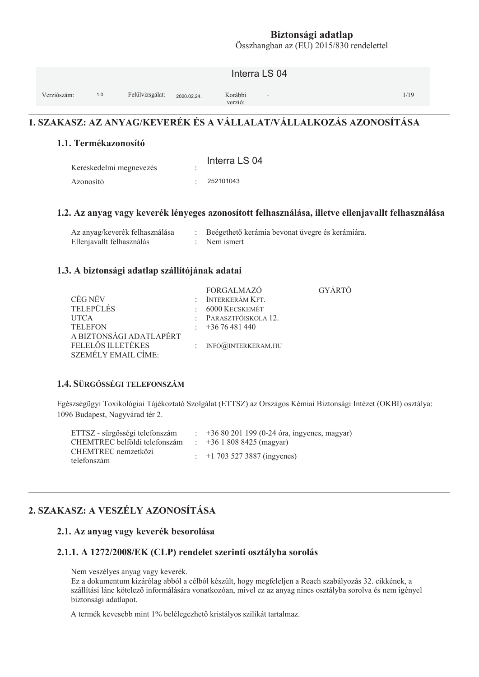Összhangban az (EU) 2015/830 rendelettel

|             |     |                 |             | Interra LS 04                                  |      |
|-------------|-----|-----------------|-------------|------------------------------------------------|------|
| Verziószám: | 1.0 | Felülvizsgálat: | 2020.02.24. | Korábbi<br>$\overline{\phantom{a}}$<br>verzió: | 1/19 |

# 1. SZAKASZ: AZ ANYAG/KEVERÉK ÉS A VÁLLALAT/VÁLLALKOZÁS AZONOSÍTÁSA

#### 1.1. Termékazonosító

| Kereskedelmi megnevezés | Interra LS 04 |
|-------------------------|---------------|
| Azonosító               | 252101043     |

#### 1.2. Az anyag vagy keverék lényeges azonosított felhasználása, illetve ellenjavallt felhasználása

| Az anyag/keverék felhasználása | Beégethető kerámia bevonat üvegre és kerámiára |
|--------------------------------|------------------------------------------------|
| Ellenjavallt felhasználás      | : Nem ismert                                   |

#### 1.3. A biztonsági adatlap szállítójának adatai

|                            | <b>FORGALMAZO</b>      | GYÁRTÓ |
|----------------------------|------------------------|--------|
| CÉG NÉV                    | $:$ INTERKERÁM KFT.    |        |
| <b>TELEPÜLÉS</b>           | $: 6000$ Kecskemét     |        |
| <b>UTCA</b>                | : PARASZTFŐISKOLA 12.  |        |
| <b>TELEFON</b>             | $\div$ +36 76 481 440  |        |
| A BIZTONSÁGI ADATLAPÉRT    |                        |        |
| FELELŐS ILLETÉKES          | : $INFO@JNIERKERAM.HU$ |        |
| <b>SZEMÉLY EMAIL CÍME:</b> |                        |        |

#### 1.4. SÜRGŐSSÉGI TELEFONSZÁM

Egészségügyi Toxikológiai Tájékoztató Szolgálat (ETTSZ) az Országos Kémiai Biztonsági Intézet (OKBI) osztálya: 1096 Budapest, Nagyvárad tér 2.

| ETTSZ - sürgősségi telefonszám     | $\pm 3680201199(0-24$ óra, ingyenes, magyar) |
|------------------------------------|----------------------------------------------|
| CHEMTREC belföldi telefonszám      | $\div$ +36 1 808 8425 (magyar)               |
| CHEMTREC nemzetközi<br>telefonszám | $\div$ +1 703 527 3887 (ingyenes)            |

# 2. SZAKASZ: A VESZÉLY AZONOSÍTÁSA

#### 2.1. Az anyag vagy keverék besorolása

#### 2.1.1. A 1272/2008/EK (CLP) rendelet szerinti osztályba sorolás

Nem veszélyes anyag vagy keverék.

Ez a dokumentum kizárólag abból a célból készült, hogy megfeleljen a Reach szabályozás 32. cikkének, a szállítási lánc kötelező informálására vonatkozóan, mivel ez az anyag nincs osztályba sorolva és nem igényel biztonsági adatlapot.

A termék kevesebb mint 1% belélegezhető kristályos szilikát tartalmaz.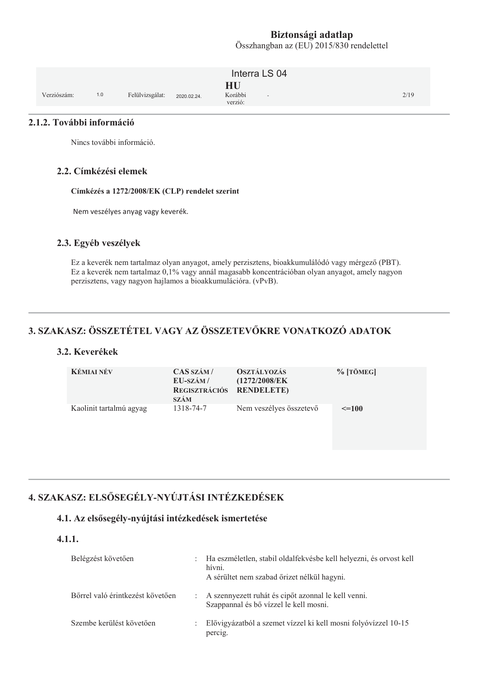Összhangban az (EU) 2015/830 rendelettel

|             |     |                 |             | Interra LS 04                                        |      |
|-------------|-----|-----------------|-------------|------------------------------------------------------|------|
| Verziószám: | 1.0 | Felülvizsgálat: | 2020.02.24. | HU<br>Korábbi<br>$\overline{\phantom{a}}$<br>verzió: | 2/19 |

#### 2.1.2. További információ

Nincs további információ.

#### 2.2. Címkézési elemek

Címkézés a 1272/2008/EK (CLP) rendelet szerint

Nem veszélyes anyag vagy keverék.

#### 2.3. Egyéb veszélyek

Ez a keverék nem tartalmaz olyan anyagot, amely perzisztens, bioakkumulálódó vagy mérgező (PBT). Ez a keverék nem tartalmaz 0,1% vagy annál magasabb koncentrációban olyan anyagot, amely nagyon perzisztens, vagy nagyon hajlamos a bioakkumulációra. (vPvB).

# 3. SZAKASZ: ÖSSZETÉTEL VAGY AZ ÖSSZETEVŐKRE VONATKOZÓ ADATOK

#### 3.2. Keverékek

| <b>KÉMIAI NÉV</b>       | CAS SZÁM/<br>EU-SZÁM/<br>REGISZTRÁCIÓS RENDELETE)<br><b>SZÁM</b> | <b>OSZTÁLYOZÁS</b><br>(1272/2008/EK) | $%$ [TÖMEG] |
|-------------------------|------------------------------------------------------------------|--------------------------------------|-------------|
| Kaolinit tartalmú agyag | 1318-74-7                                                        | Nem veszélyes összetevő              | $\leq$ =100 |

# 4. SZAKASZ: ELSŐSEGÉLY-NYÚJTÁSI INTÉZKEDÉSEK

#### 4.1. Az elsősegély-nyújtási intézkedések ismertetése

#### $4.1.1.$

| Belégzést követően               | D.           | Ha eszméletlen, stabil oldalfekvésbe kell helyezni, és orvost kell<br>hívni.<br>A sérültet nem szabad őrizet nélkül hagyni. |
|----------------------------------|--------------|-----------------------------------------------------------------------------------------------------------------------------|
| Bőrrel való érintkezést követően |              | : A szennyezett ruhát és cipőt azonnal le kell venni.<br>Szappannal és bő vízzel le kell mosni.                             |
| Szembe kerülést követően         | $\mathbb{R}$ | Elővigyázatból a szemet vízzel ki kell mosni folyóvízzel 10-15<br>percig.                                                   |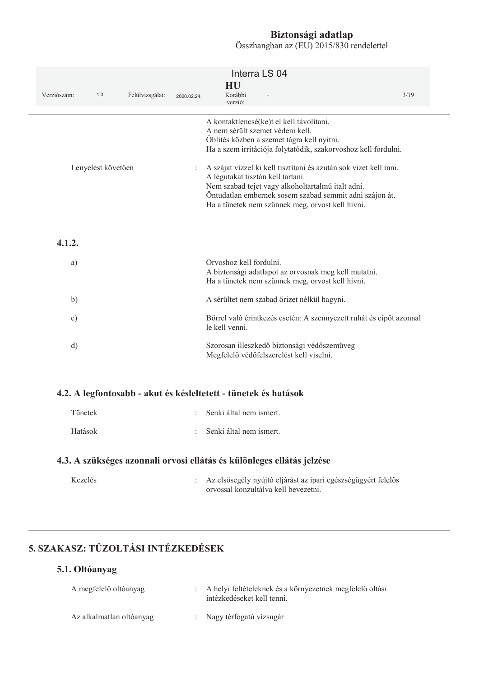| Verziószám:<br>1.0 | Felülvizsgálat: | 2020.02.24. | Interra LS 04<br>HU<br>Korábbi<br>verzió:                                                                                                                                                                                                                                  | 3/19 |
|--------------------|-----------------|-------------|----------------------------------------------------------------------------------------------------------------------------------------------------------------------------------------------------------------------------------------------------------------------------|------|
|                    |                 |             | A kontaktlencsé(ke)t el kell távolítani.<br>A nem sérült szemet védeni kell.<br>Öblítés közben a szemet tágra kell nyitni.<br>Ha a szem irritációja folytatódik, szakorvoshoz kell fordulni.                                                                               |      |
| Lenyelést követően |                 |             | A szájat vízzel ki kell tisztítani és azután sok vizet kell inni.<br>A légutakat tisztán kell tartani.<br>Nem szabad tejet vagy alkoholtartalmú italt adni.<br>Öntudatlan embernek sosem szabad semmit adni szájon át.<br>Ha a tünetek nem szűnnek meg, orvost kell hívni. |      |
| 4.1.2.             |                 |             |                                                                                                                                                                                                                                                                            |      |
| a)                 |                 |             | Orvoshoz kell fordulni.<br>A biztonsági adatlapot az orvosnak meg kell mutatni.<br>Ha a tünetek nem szűnnek meg, orvost kell hívni.                                                                                                                                        |      |
| b)                 |                 |             | A sérültet nem szabad őrizet nélkül hagyni.                                                                                                                                                                                                                                |      |
| $\circ$ )          |                 |             | Bőrrel való érintkezés esetén: A szennyezett ruhát és cipőt azonnal<br>le kell venni.                                                                                                                                                                                      |      |
| d)                 |                 |             | Szorosan illeszkedő biztonsági védőszemüveg<br>Megfelelő védőfelszerelést kell viselni.                                                                                                                                                                                    |      |
|                    |                 |             | 4.2. A legfontosabb - akut és késleltetett - tünetek és hatások                                                                                                                                                                                                            |      |
| Tünetek            |                 |             | Senki által nem ismert.                                                                                                                                                                                                                                                    |      |
| Hatások            |                 |             | Senki által nem ismert.                                                                                                                                                                                                                                                    |      |
|                    |                 |             | 4.3. A szükséges azonnali orvosi ellátás és különleges ellátás jelzése                                                                                                                                                                                                     |      |
| Kezelés            |                 |             | Az elsősegély nyújtó eljárást az ipari egészségügyért felelős<br>orvossal konzultálva kell bevezetni.                                                                                                                                                                      |      |

# 5. SZAKASZ: TŰZOLTÁSI INTÉZKEDÉSEK

## 5.1. Oltóanyag

| A megfelelő oltóanyag    | : A helyi feltételeknek és a környezetnek megfelelő oltási<br>intézkedéseket kell tenni. |
|--------------------------|------------------------------------------------------------------------------------------|
| Az alkalmatlan oltóanyag | : Nagy térfogatú vízsugár                                                                |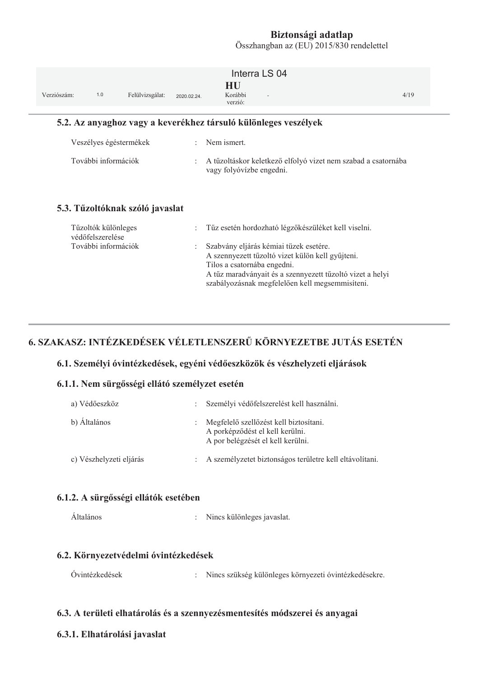Összhangban az (EU) 2015/830 rendelettel

| Verziószám: | 1.0                                     | Felülvizsgálat:                 | 2020.02.24.          | Interra LS 04<br>HU<br>Korábbi<br>verzió:                                                                                                                                                                                                 | 4/19 |  |
|-------------|-----------------------------------------|---------------------------------|----------------------|-------------------------------------------------------------------------------------------------------------------------------------------------------------------------------------------------------------------------------------------|------|--|
|             |                                         |                                 |                      | 5.2. Az anyaghoz vagy a keverékhez társuló különleges veszélyek                                                                                                                                                                           |      |  |
|             | Veszélyes égéstermékek                  |                                 | $\ddot{\phantom{a}}$ | Nem ismert.                                                                                                                                                                                                                               |      |  |
|             | További információk                     |                                 |                      | A tűzoltáskor keletkező elfolyó vizet nem szabad a csatornába<br>vagy folyóvízbe engedni.                                                                                                                                                 |      |  |
|             |                                         | 5.3. Tűzoltóknak szóló javaslat |                      |                                                                                                                                                                                                                                           |      |  |
|             | Tűzoltók különleges<br>védőfelszerelése |                                 |                      | Tűz esetén hordozható légzőkészüléket kell viselni.                                                                                                                                                                                       |      |  |
|             | További információk                     |                                 | ÷                    | Szabvány eljárás kémiai tüzek esetére.<br>A szennyezett tűzoltó vizet külön kell gyűjteni.<br>Tilos a csatornába engedni.<br>A tűz maradványait és a szennyezett tűzoltó vizet a helyi<br>szabályozásnak megfelelően kell megsemmisíteni. |      |  |

# 6. SZAKASZ: INTÉZKEDÉSEK VÉLETLENSZERŰ KÖRNYEZETBE JUTÁS ESETÉN

#### 6.1. Személyi óvintézkedések, egyéni védőeszközök és vészhelyzeti eljárások

#### 6.1.1. Nem sürgősségi ellátó személyzet esetén

| a) Védőeszköz           |                           | Személyi védőfelszerelést kell használni.                                                                      |
|-------------------------|---------------------------|----------------------------------------------------------------------------------------------------------------|
| b) Általános            | $\mathbb{R}^{\mathbb{Z}}$ | Megfelelő szellőzést kell biztosítani.<br>A porképződést el kell kerülni.<br>A por belégzését el kell kerülni. |
| c) Vészhelyzeti eljárás | $\mathbb{R}^n$            | A személyzetet biztonságos területre kell eltávolítani.                                                        |

#### 6.1.2. A sürgősségi ellátók esetében

Általános : Nincs különleges javaslat.

#### 6.2. Környezetvédelmi óvintézkedések

| Ovintézkedések |  | Nincs szükség különleges környezeti óvintézkedésekre. |
|----------------|--|-------------------------------------------------------|
|----------------|--|-------------------------------------------------------|

#### 6.3. A területi elhatárolás és a szennyezésmentesítés módszerei és anyagai

#### 6.3.1. Elhatárolási javaslat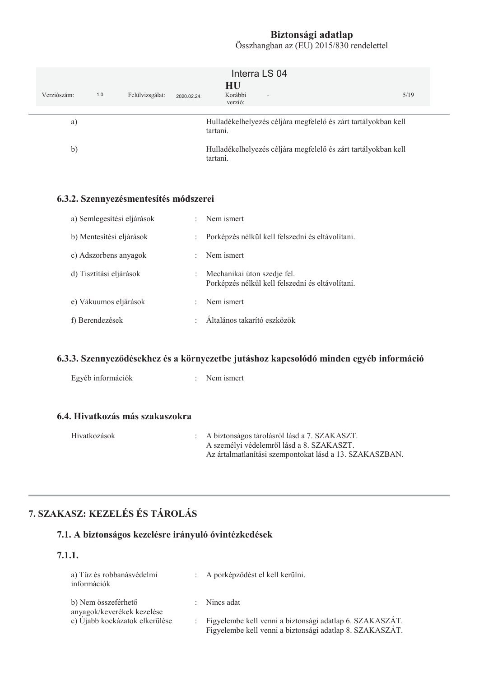| Verziószám:  | 1.0 | Felülvizsgálat: | 2020.02.24. | Interra LS 04<br>HU<br>Korábbi<br>$\sim$<br>verzió:                        | 5/19 |
|--------------|-----|-----------------|-------------|----------------------------------------------------------------------------|------|
| a)           |     |                 |             | Hulladékelhelyezés céljára megfelelő és zárt tartályokban kell<br>tartani. |      |
| $\mathbf{b}$ |     |                 |             | Hulladékelhelyezés céljára megfelelő és zárt tartályokban kell<br>tartani. |      |
|              |     | (22.8)          |             |                                                                            |      |

#### 6.3.2. Szennyezésmentesítés módszerei

| a) Semlegesítési eljárások | ÷                    | Nem ismert                                                                      |
|----------------------------|----------------------|---------------------------------------------------------------------------------|
| b) Mentesítési eljárások   | $\ddot{\phantom{a}}$ | Porképzés nélkül kell felszedni és eltávolítani.                                |
| c) Adszorbens anyagok      | ÷                    | Nem ismert                                                                      |
| d) Tisztítási eljárások    | ÷                    | Mechanikai úton szedje fel.<br>Porképzés nélkül kell felszedni és eltávolítani. |
| e) Vákuumos eljárások      | ٠                    | Nem ismert                                                                      |
| f) Berendezések            | ٠                    | Általános takarító eszközök                                                     |

### 6.3.3. Szennyeződésekhez és a környezetbe jutáshoz kapcsolódó minden egyéb információ

| Egyéb információk               | $\therefore$ Nem ismert |
|---------------------------------|-------------------------|
|                                 |                         |
| 6.4. Hivatkozás más szakaszokra |                         |
| $- - -$                         |                         |

| Hivatkozások | : A biztonságos tárolásról lásd a 7. SZAKASZT.          |
|--------------|---------------------------------------------------------|
|              | A személyi védelemről lásd a 8. SZAKASZT.               |
|              | Az ártalmatlanítási szempontokat lásd a 13. SZAKASZBAN. |

# 7. SZAKASZ: KEZELÉS ÉS TÁROLÁS

# 7.1. A biztonságos kezelésre irányuló óvintézkedések

#### $7.1.1.$

| a) Tűz és robbanásvédelmi<br>információk          | : A porképződést el kell kerülni.                                                                                      |
|---------------------------------------------------|------------------------------------------------------------------------------------------------------------------------|
| b) Nem összeférhető<br>anyagok/keverékek kezelése | $:$ Nincs adat                                                                                                         |
| c) Újabb kockázatok elkerülése                    | : Figyelembe kell venni a biztonsági adatlap 6. SZAKASZÁT.<br>Figyelembe kell venni a biztonsági adatlap 8. SZAKASZÁT. |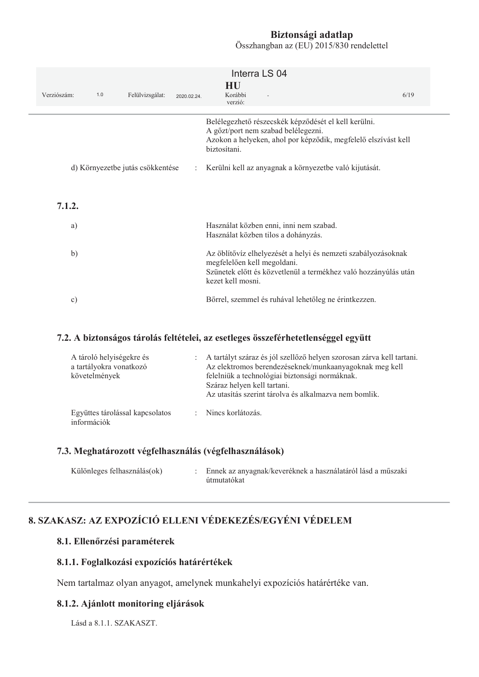Összhangban az (EU) 2015/830 rendelettel

| Verziószám:   | 1.0 | Felülvizsgálat:                  | 2020.02.24.          | Interra LS 04<br>HU<br>Korábbi<br>verzió:                                                                                                                                            | 6/19 |
|---------------|-----|----------------------------------|----------------------|--------------------------------------------------------------------------------------------------------------------------------------------------------------------------------------|------|
|               |     |                                  |                      | Belélegezhető részecskék képződését el kell kerülni.<br>A gözt/port nem szabad belélegezni.<br>Azokon a helyeken, ahol por képződik, megfelelő elszívást kell<br>biztosítani.        |      |
|               |     | d) Környezetbe jutás csökkentése | $\ddot{\phantom{a}}$ | Kerülni kell az anyagnak a környezetbe való kijutását.                                                                                                                               |      |
| 7.1.2.        |     |                                  |                      |                                                                                                                                                                                      |      |
| a)            |     |                                  |                      | Használat közben enni, inni nem szabad.<br>Használat közben tilos a dohányzás.                                                                                                       |      |
| b)            |     |                                  |                      | Az öblítővíz elhelyezését a helyi és nemzeti szabályozásoknak<br>megfelelően kell megoldani.<br>Szünetek előtt és közvetlenül a termékhez való hozzányúlás után<br>kezet kell mosni. |      |
| $\mathbf{c})$ |     |                                  |                      | Bőrrel, szemmel és ruhával lehetőleg ne érintkezzen.                                                                                                                                 |      |

#### 7.2. A biztonságos tárolás feltételei, az esetleges összeférhetetlenséggel együtt

| A tároló helyiségekre és<br>a tartályokra vonatkozó<br>követelmények | : A tartályt száraz és jól szellőző helyen szorosan zárva kell tartani.<br>Az elektromos berendezéseknek/munkaanyagoknak meg kell<br>felelniük a technológiai biztonsági normáknak.<br>Száraz helyen kell tartani.<br>Az utasítás szerint tárolya és alkalmazya nem bomlik. |
|----------------------------------------------------------------------|-----------------------------------------------------------------------------------------------------------------------------------------------------------------------------------------------------------------------------------------------------------------------------|
| Együttes tárolással kapcsolatos<br>információk                       | : Nincs korlátozás.                                                                                                                                                                                                                                                         |

#### 7.3. Meghatározott végfelhasználás (végfelhasználások)

| Különleges felhasználás(ok) |  | : Ennek az anyagnak/keveréknek a használatáról lásd a műszaki<br>útmutatókat |
|-----------------------------|--|------------------------------------------------------------------------------|
|-----------------------------|--|------------------------------------------------------------------------------|

# 8. SZAKASZ: AZ EXPOZÍCIÓ ELLENI VÉDEKEZÉS/EGYÉNI VÉDELEM

#### 8.1. Ellenőrzési paraméterek

#### 8.1.1. Foglalkozási expozíciós határértékek

Nem tartalmaz olyan anyagot, amelynek munkahelyi expozíciós határértéke van.

#### 8.1.2. Ajánlott monitoring eljárások

Lásd a 8.1.1. SZAKASZT.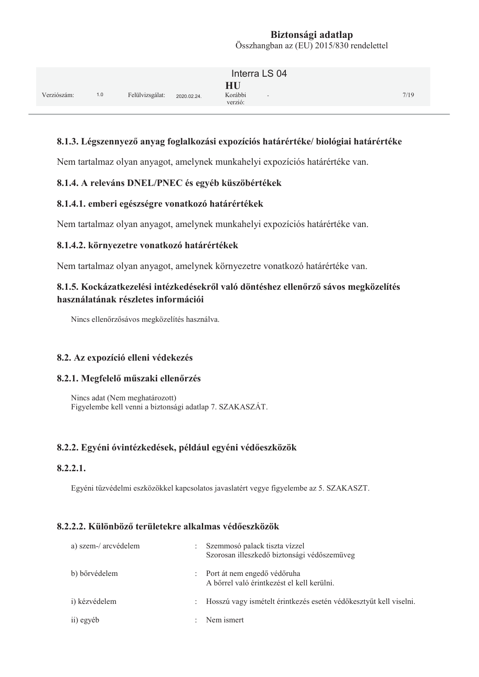|             |     |                 |             | Interra LS 04                      |      |
|-------------|-----|-----------------|-------------|------------------------------------|------|
| Verziószám: | 1.0 | Felülvizsgálat: | 2020.02.24. | HU<br>Korábbi<br>$\sim$<br>verzió: | 7/19 |

#### 8.1.3. Légszennyező anyag foglalkozási expozíciós határértéke/ biológiai határértéke

Nem tartalmaz olyan anyagot, amelynek munkahelyi expozíciós határértéke van.

#### 8.1.4. A releváns DNEL/PNEC és egyéb küszöbértékek

#### 8.1.4.1. emberi egészségre vonatkozó határértékek

Nem tartalmaz olyan anyagot, amelynek munkahelyi expozíciós határértéke van.

#### 8.1.4.2. környezetre vonatkozó határértékek

Nem tartalmaz olyan anyagot, amelynek környezetre vonatkozó határértéke van.

#### 8.1.5. Kockázatkezelési intézkedésekről való döntéshez ellenőrző sávos megközelítés használatának részletes információi

Nincs ellenőrzősávos megközelítés használva.

#### 8.2. Az expozíció elleni védekezés

#### 8.2.1. Megfelelő műszaki ellenőrzés

Nincs adat (Nem meghatározott) Figyelembe kell venni a biztonsági adatlap 7. SZAKASZÁT.

#### 8.2.2. Egyéni óvintézkedések, például egyéni védőeszközök

#### $8.2.2.1.$

Egyéni tűzvédelmi eszközökkel kapcsolatos javaslatért vegye figyelembe az 5. SZAKASZT.

#### **8.2.2.2. Különböző területekre alkalmas védőeszközök**

| a) szem-/ arcvédelem |                      | Szemmosó palack tiszta vízzel<br>Szorosan illeszkedő biztonsági védőszemüveg |
|----------------------|----------------------|------------------------------------------------------------------------------|
| b) bőrvédelem        |                      | : Port át nem engedő védőruha<br>A bőrrel való érintkezést el kell kerülni.  |
| i) kézvédelem        | $\ddot{\phantom{0}}$ | Hosszú vagy ismételt érintkezés esetén védőkesztyűt kell viselni.            |
| ii) egyéb            | $\ddot{\phantom{0}}$ | Nem ismert                                                                   |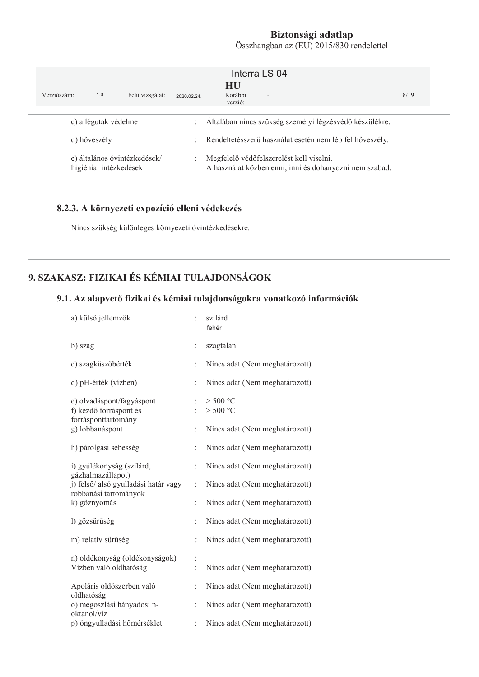|                                                        | Verziószám:          | 1.0 | Felülvizsgálat:                                                                                     | 2020.02.24.                                                | Interra LS 04<br>HU<br>Korábbi<br>$\sim$<br>verzió:     | 8/19 |  |
|--------------------------------------------------------|----------------------|-----|-----------------------------------------------------------------------------------------------------|------------------------------------------------------------|---------------------------------------------------------|------|--|
|                                                        | c) a légutak védelme |     |                                                                                                     | $\ddot{\phantom{a}}$                                       | Általában nincs szükség személyi légzésvédő készülékre. |      |  |
|                                                        | d) hőveszély         |     |                                                                                                     | : Rendeltetésszerű használat esetén nem lép fel hőveszély. |                                                         |      |  |
| e) általános óvintézkedések/<br>higiéniai intézkedések |                      | ÷   | Megfelelő védőfelszerelést kell viselni.<br>A használat közben enni, inni és dohányozni nem szabad. |                                                            |                                                         |      |  |

#### 8.2.3. A környezeti expozíció elleni védekezés

Nincs szükség különleges környezeti óvintézkedésekre.

# 9. SZAKASZ: FIZIKAI ÉS KÉMIAI TULAJDONSÁGOK

### 9.1. Az alapvető fizikai és kémiai tulajdonságokra vonatkozó információk

| a) külső jellemzők                                                         |                | szilárd<br>fehér               |
|----------------------------------------------------------------------------|----------------|--------------------------------|
| b) szag                                                                    | $\vdots$       | szagtalan                      |
| c) szagküszöbérték                                                         | $\ddot{\cdot}$ | Nincs adat (Nem meghatározott) |
| d) pH-érték (vízben)                                                       | $\ddot{\cdot}$ | Nincs adat (Nem meghatározott) |
| e) olvadáspont/fagyáspont<br>f) kezdő forráspont és<br>forrásponttartomány | $\ddot{\cdot}$ | $>$ 500 °C<br>> 500 °C         |
| g) lobbanáspont                                                            | $\ddot{\cdot}$ | Nincs adat (Nem meghatározott) |
| h) párolgási sebesség                                                      | $\vdots$       | Nincs adat (Nem meghatározott) |
| i) gyúlékonyság (szilárd,                                                  | $\ddot{\cdot}$ | Nincs adat (Nem meghatározott) |
| gázhalmazállapot)<br>j) felső/ alsó gyulladási határ vagy                  | $\ddot{\cdot}$ | Nincs adat (Nem meghatározott) |
| robbanási tartományok<br>k) gőznyomás                                      | $\ddot{\cdot}$ | Nincs adat (Nem meghatározott) |
| l) gőzsűrűség                                                              | $\ddot{\cdot}$ | Nincs adat (Nem meghatározott) |
| m) relatív sűrűség                                                         | $\ddot{\cdot}$ | Nincs adat (Nem meghatározott) |
| n) oldékonyság (oldékonyságok)<br>Vízben való oldhatóság                   |                | Nincs adat (Nem meghatározott) |
| Apoláris oldószerben való                                                  | $\ddot{\cdot}$ | Nincs adat (Nem meghatározott) |
| oldhatóság<br>o) megoszlási hányados: n-<br>oktanol/víz                    | $\vdots$       | Nincs adat (Nem meghatározott) |
| p) öngyulladási hőmérséklet                                                | $\ddot{\cdot}$ | Nincs adat (Nem meghatározott) |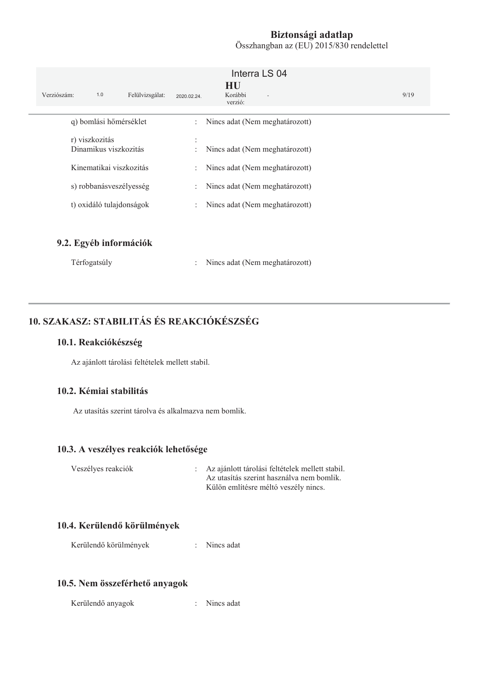| Verziószám:<br>1.0<br>Felülvizsgálat:                                                                                     | Interra LS 04<br>HU<br>Korábbi<br>2020.02.24.<br>$\sim$<br>verzió:                                                                                                                                                          | 9/19 |
|---------------------------------------------------------------------------------------------------------------------------|-----------------------------------------------------------------------------------------------------------------------------------------------------------------------------------------------------------------------------|------|
| q) bomlási hőmérséklet                                                                                                    | Nincs adat (Nem meghatározott)<br>$\mathbb{R}^{\mathbb{Z}}$                                                                                                                                                                 |      |
| r) viszkozitás<br>Dinamikus viszkozitás<br>Kinematikai viszkozitás<br>s) robbanásveszélyesség<br>t) oxidáló tulajdonságok | Nincs adat (Nem meghatározott)<br>$\ddot{\phantom{a}}$<br>Nincs adat (Nem meghatározott)<br>$\mathbb{Z}^{\mathbb{Z}}$<br>Nincs adat (Nem meghatározott)<br>÷<br>Nincs adat (Nem meghatározott)<br>$\mathbb{R}^{\mathbb{Z}}$ |      |
| 9.2. Egyéb információk                                                                                                    |                                                                                                                                                                                                                             |      |

| Térfogatsúly<br>Nincs adat (Nem meghatározott) |  |  |
|------------------------------------------------|--|--|
|------------------------------------------------|--|--|

# 10. SZAKASZ: STABILITÁS ÉS REAKCIÓKÉSZSÉG

#### 10.1. Reakciókészség

Az ajánlott tárolási feltételek mellett stabil.

#### 10.2. Kémiai stabilitás

Az utasítás szerint tárolya és alkalmazya nem bomlik.

#### 10.3. A veszélyes reakciók lehetősége

| Veszélyes reakciók | : Az ajánlott tárolási feltételek mellett stabil. |
|--------------------|---------------------------------------------------|
|                    | Az utasítás szerint használya nem bomlik.         |
|                    | Külön említésre méltó veszély nincs.              |

#### 10.4. Kerülendő körülmények

Kerülendő körülmények : Nincs adat

#### 10.5. Nem összeférhető anyagok

Kerülendő anyagok : Nincs adat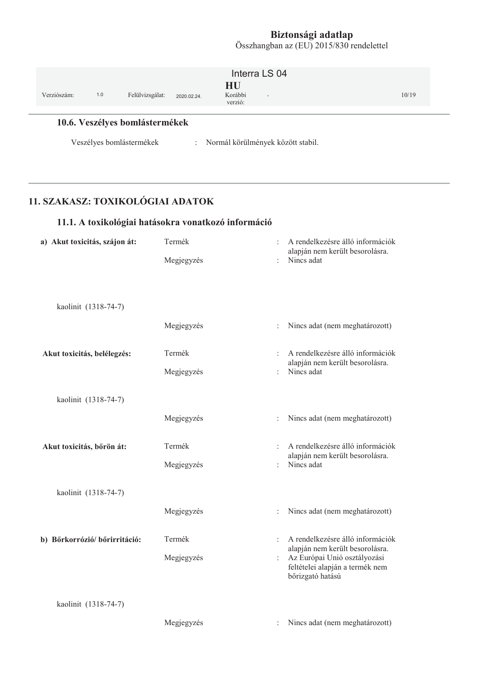| Verziószám: | 1.0 | Felülvizsgálat:                                            | 2020.02.24. | Interra LS 04<br>HU<br>Korábbi<br>$\sim$<br>verzió: | 10/19 |
|-------------|-----|------------------------------------------------------------|-------------|-----------------------------------------------------|-------|
|             |     | 10.6. Veszélyes bomlástermékek<br>Veszélyes bomlástermékek |             | : Normál körülmények között stabil.                 |       |

# 11. SZAKASZ: TOXIKOLÓGIAI ADATOK

# 11.1. A toxikológiai hatásokra vonatkozó információ

| a) Akut toxicitás, szájon át: | Termék     |                | A rendelkezésre álló információk<br>alapján nem került besorolásra.                                |  |
|-------------------------------|------------|----------------|----------------------------------------------------------------------------------------------------|--|
|                               | Megjegyzés |                | Nincs adat                                                                                         |  |
|                               |            |                |                                                                                                    |  |
|                               |            |                |                                                                                                    |  |
| kaolinit (1318-74-7)          |            |                |                                                                                                    |  |
|                               | Megjegyzés | $\ddot{\cdot}$ | Nincs adat (nem meghatározott)                                                                     |  |
| Akut toxicitás, belélegzés:   | Termék     | $\ddot{\cdot}$ | A rendelkezésre álló információk                                                                   |  |
|                               | Megjegyzés | ÷              | alapján nem került besorolásra.<br>Nincs adat                                                      |  |
| kaolinit (1318-74-7)          |            |                |                                                                                                    |  |
|                               | Megjegyzés | $\vdots$       | Nincs adat (nem meghatározott)                                                                     |  |
| Akut toxicitás, bőrön át:     | Termék     | $\ddot{\cdot}$ | A rendelkezésre álló információk<br>alapján nem került besorolásra.                                |  |
|                               | Megjegyzés | $\ddot{\cdot}$ | Nincs adat                                                                                         |  |
| kaolinit (1318-74-7)          |            |                |                                                                                                    |  |
|                               | Megjegyzés | $\ddot{\cdot}$ | Nincs adat (nem meghatározott)                                                                     |  |
| b) Bőrkorrózió/ bőrirritáció: | Termék     | $\ddot{\cdot}$ | A rendelkezésre álló információk                                                                   |  |
|                               | Megjegyzés | $\vdots$       | alapján nem került besorolásra.<br>Az Európai Unió osztályozási<br>feltételei alapján a termék nem |  |
|                               |            |                | bőrizgató hatású                                                                                   |  |
| kaolinit (1318-74-7)          |            |                |                                                                                                    |  |
|                               | Megjegyzés | $\ddot{\cdot}$ | Nincs adat (nem meghatározott)                                                                     |  |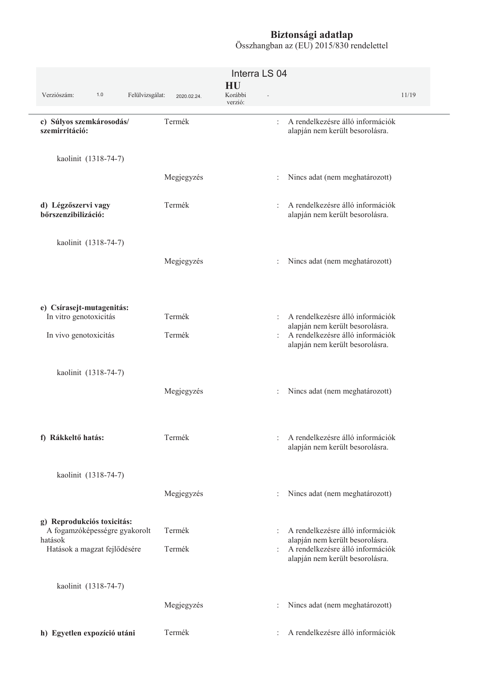| Verziószám:<br>1.0<br>Felülvizsgálat:                                  | 2020.02.24. | Interra LS 04<br>HU<br>Korábbi<br>÷.<br>verzió: |                                                                     | 11/19 |
|------------------------------------------------------------------------|-------------|-------------------------------------------------|---------------------------------------------------------------------|-------|
| c) Súlyos szemkárosodás/<br>szemirritáció:                             | Termék      | $\ddot{\phantom{a}}$                            | A rendelkezésre álló információk<br>alapján nem került besorolásra. |       |
| kaolinit (1318-74-7)                                                   |             |                                                 |                                                                     |       |
|                                                                        | Megjegyzés  |                                                 | Nincs adat (nem meghatározott)                                      |       |
| d) Légzőszervi vagy<br>bőrszenzibilizáció:                             | Termék      | $\ddot{\cdot}$                                  | A rendelkezésre álló információk<br>alapján nem került besorolásra. |       |
| kaolinit (1318-74-7)                                                   |             |                                                 |                                                                     |       |
|                                                                        | Megjegyzés  |                                                 | Nincs adat (nem meghatározott)                                      |       |
| e) Csírasejt-mutagenitás:<br>In vitro genotoxicitás                    | Termék      |                                                 | A rendelkezésre álló információk<br>alapján nem került besorolásra. |       |
| In vivo genotoxicitás                                                  | Termék      | ÷                                               | A rendelkezésre álló információk<br>alapján nem került besorolásra. |       |
| kaolinit (1318-74-7)                                                   |             |                                                 |                                                                     |       |
|                                                                        | Megjegyzés  |                                                 | Nincs adat (nem meghatározott)                                      |       |
| f) Rákkeltő hatás:                                                     | Termék      | $\ddot{\phantom{a}}$                            | A rendelkezésre álló információk<br>alapján nem került besorolásra. |       |
| kaolinit (1318-74-7)                                                   |             |                                                 |                                                                     |       |
|                                                                        | Megjegyzés  |                                                 | Nincs adat (nem meghatározott)                                      |       |
| g) Reprodukciós toxicitás:<br>A fogamzóképességre gyakorolt<br>hatások | Termék      | $\vdots$                                        | A rendelkezésre álló információk<br>alapján nem került besorolásra. |       |
| Hatások a magzat fejlődésére                                           | Termék      | $\ddot{\phantom{a}}$                            | A rendelkezésre álló információk<br>alapján nem került besorolásra. |       |
| kaolinit (1318-74-7)                                                   |             |                                                 |                                                                     |       |
|                                                                        | Megjegyzés  |                                                 | Nincs adat (nem meghatározott)                                      |       |
| h) Egyetlen expozíció utáni                                            | Termék      |                                                 | A rendelkezésre álló információk                                    |       |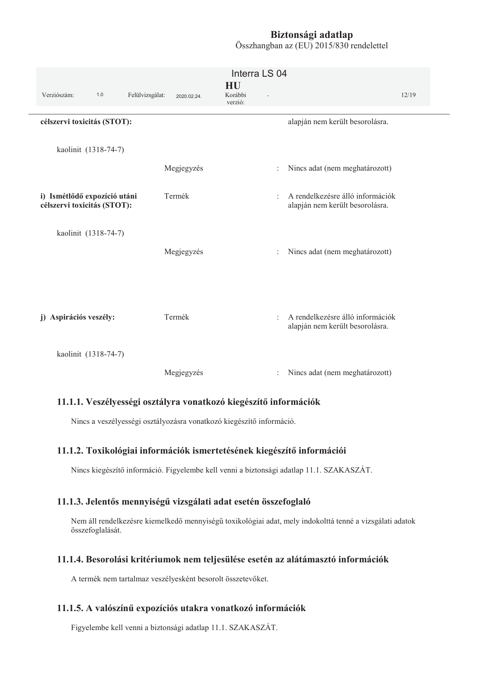Összhangban az (EU) 2015/830 rendelettel

|                                                             |             | Interra LS 04            |                                                                     |       |
|-------------------------------------------------------------|-------------|--------------------------|---------------------------------------------------------------------|-------|
| Verziószám:<br>1.0<br>Felülvizsgálat:                       | 2020.02.24. | HU<br>Korábbi<br>verzió: |                                                                     | 12/19 |
| célszervi toxicitás (STOT):                                 |             |                          | alapján nem került besorolásra.                                     |       |
| kaolinit (1318-74-7)                                        |             |                          |                                                                     |       |
|                                                             | Megjegyzés  |                          | Nincs adat (nem meghatározott)                                      |       |
| i) Ismétlődő expozíció utáni<br>célszervi toxicitás (STOT): | Termék      | ÷                        | A rendelkezésre álló információk<br>alapján nem került besorolásra. |       |
| kaolinit (1318-74-7)                                        | Megjegyzés  |                          | Nincs adat (nem meghatározott)                                      |       |
| j) Aspirációs veszély:                                      | Termék      | $\ddot{\phantom{a}}$     | A rendelkezésre álló információk<br>alapján nem került besorolásra. |       |
| kaolinit (1318-74-7)                                        |             |                          |                                                                     |       |
|                                                             | Megjegyzés  | $\ddot{\phantom{a}}$     | Nincs adat (nem meghatározott)                                      |       |

#### 11.1.1. Veszélyességi osztályra vonatkozó kiegészítő információk

Nincs a veszélyességi osztályozásra vonatkozó kiegészítő információ.

#### 11.1.2. Toxikológiai információk ismertetésének kiegészítő információi

Nincs kiegészítő információ. Figyelembe kell venni a biztonsági adatlap 11.1. SZAKASZÁT.

#### 11.1.3. Jelentős mennyiségű vizsgálati adat esetén összefoglaló

Nem áll rendelkezésre kiemelkedő mennyiségű toxikológiai adat, mely indokolttá tenné a vizsgálati adatok összefoglalását.

#### 11.1.4. Besorolási kritériumok nem teljesülése esetén az alátámasztó információk

A termék nem tartalmaz veszélyesként besorolt összetevőket.

#### 11.1.5. A valószínű expozíciós utakra vonatkozó információk

Figyelembe kell venni a biztonsági adatlap 11.1. SZAKASZÁT.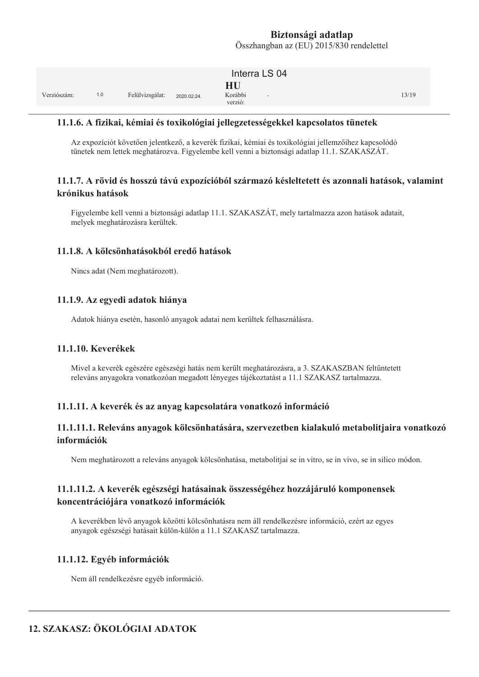|             |     |                 |             | Interra LS 04                                        |       |
|-------------|-----|-----------------|-------------|------------------------------------------------------|-------|
| Verziószám: | 1.0 | Felülvizsgálat: | 2020.02.24. | HU<br>Korábbi<br>$\overline{\phantom{a}}$<br>verzió: | 13/19 |

#### 11.1.6. A fizikai, kémiai és toxikológiai jellegzetességekkel kapcsolatos tünetek

Az expozíciót követően jelentkező, a keverék fizikai, kémiai és toxikológiai jellemzőihez kapcsolódó tünetek nem lettek meghatározva. Figyelembe kell venni a biztonsági adatlap 11.1. SZAKASZÁT.

#### 11.1.7. A rövid és hosszú távú expozícióból származó késleltetett és azonnali hatások, valamint krónikus hatások

Figyelembe kell venni a biztonsági adatlap 11.1. SZAKASZÁT, mely tartalmazza azon hatások adatait, melyek meghatározásra kerültek.

#### 11.1.8. A kölcsönhatásokból eredő hatások

Nincs adat (Nem meghatározott).

#### 11.1.9. Az egyedi adatok hiánya

Adatok hiánya esetén, hasonló anyagok adatai nem kerültek felhasználásra.

#### 11.1.10. Keverékek

Mivel a keverék egészére egészségi hatás nem került meghatározásra, a 3. SZAKASZBAN feltűntetett releváns anyagokra vonatkozóan megadott lényeges tájékoztatást a 11.1 SZAKASZ tartalmazza.

#### 11.1.11. A keverék és az anyag kapcsolatára vonatkozó információ

#### 11.1.11.1. Releváns anyagok kölcsönhatására, szervezetben kialakuló metabolitjaira vonatkozó információk

Nem meghatározott a releváns anyagok kölcsönhatása, metabolitjai se in vitro, se in vivo, se in silico módon.

#### 11.1.11.2. A keverék egészségi hatásainak összességéhez hozzájáruló komponensek koncentrációjára vonatkozó információk

A keverékben lévő anyagok közötti kölcsönhatásra nem áll rendelkezésre információ, ezért az egyes anyagok egészségi hatásait külön-külön a 11.1 SZAKASZ tartalmazza.

#### 11.1.12. Egyéb információk

Nem áll rendelkezésre egyéb információ.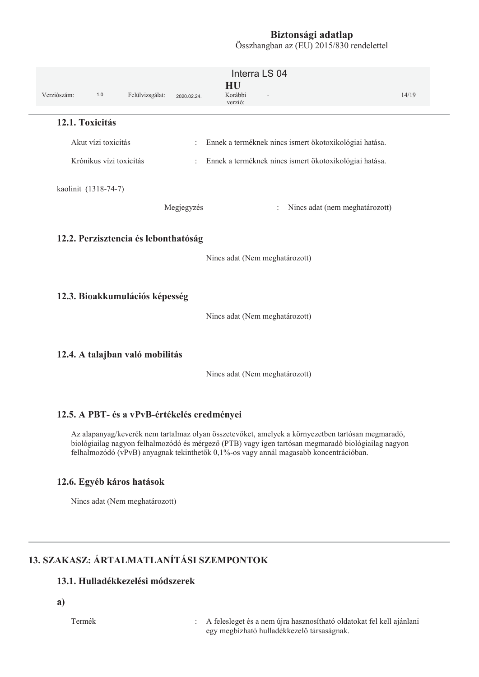Interra LS 04 **HU** Verziószám:  $1.0$ Felülvizsgálat: Korábbi  $14/19$ 2020.02.24 verzió: 12.1. Toxicitás Akut vízi toxicitás : Ennek a terméknek nincs ismert ökotoxikológiai hatása. Krónikus vízi toxicitás : Ennek a terméknek nincs ismert ökotoxikológiai hatása. kaolinit (1318-74-7) Megjegyzés : Nincs adat (nem meghatározott) 12.2. Perzisztencia és lebonthatóság Nincs adat (Nem meghatározott) 12.3. Bioakkumulációs képesség Nincs adat (Nem meghatározott) 12.4. A talajban való mobilitás

Nincs adat (Nem meghatározott)

#### 12.5. A PBT- és a vPvB-értékelés eredményei

Az alapanyag/keverék nem tartalmaz olyan összetevőket, amelyek a környezetben tartósan megmaradó, biológiailag nagyon felhalmozódó és mérgező (PTB) vagy igen tartósan megmaradó biológiailag nagyon felhalmozódó (vPvB) anyagnak tekinthetők 0,1%-os vagy annál magasabb koncentrációban.

#### 12.6. Egyéb káros hatások

Nincs adat (Nem meghatározott)

# **13. SZAKASZ: ÁRTALMATLANÍTÁSI SZEMPONTOK**

## 13.1. Hulladékkezelési módszerek

a)

Termék

: A felesleget és a nem újra hasznosítható oldatokat fel kell ajánlani egy megbízható hulladékkezelő társaságnak.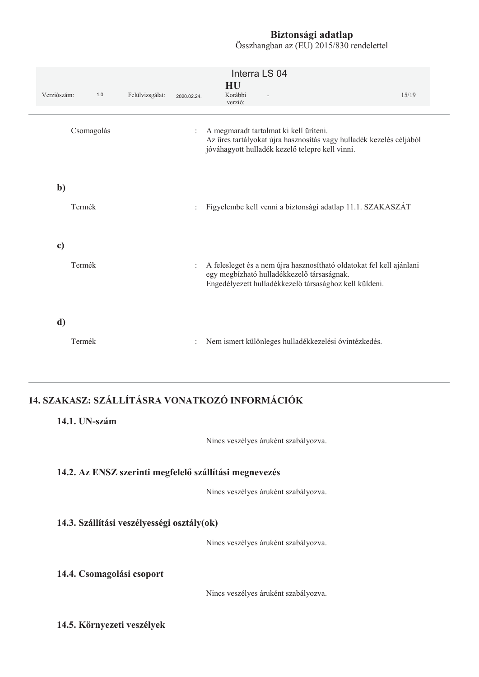Összhangban az (EU) 2015/830 rendelettel

| Verziószám:   | $1.0$      | Felülvizsgálat: | 2020.02.24.          | Interra LS 04<br>HU<br>Korábbi<br>verzió:                                                                                                                                    | 15/19 |
|---------------|------------|-----------------|----------------------|------------------------------------------------------------------------------------------------------------------------------------------------------------------------------|-------|
|               | Csomagolás |                 | $\ddot{\phantom{a}}$ | A megmaradt tartalmat ki kell üríteni.<br>Az üres tartályokat újra hasznosítás vagy hulladék kezelés céljából<br>jóváhagyott hulladék kezelő telepre kell vinni.             |       |
| $\mathbf{b}$  | Termék     |                 |                      | Figyelembe kell venni a biztonsági adatlap 11.1. SZAKASZÁT                                                                                                                   |       |
| $\mathbf{c})$ | Termék     |                 |                      | A felesleget és a nem újra hasznosítható oldatokat fel kell ajánlani<br>egy megbízható hulladékkezelő társaságnak.<br>Engedélyezett hulladékkezelő társasághoz kell küldeni. |       |
| d)            | Termék     |                 |                      | Nem ismert különleges hulladékkezelési óvintézkedés.                                                                                                                         |       |

# 14. SZAKASZ: SZÁLLÍTÁSRA VONATKOZÓ INFORMÁCIÓK

### 14.1. UN-szám

Nincs veszélyes áruként szabályozva.

#### 14.2. Az ENSZ szerinti megfelelő szállítási megnevezés

Nincs veszélyes áruként szabályozva.

#### 14.3. Szállítási veszélyességi osztály(ok)

Nincs veszélyes áruként szabályozva.

#### 14.4. Csomagolási csoport

Nincs veszélyes áruként szabályozva.

#### 14.5. Környezeti veszélyek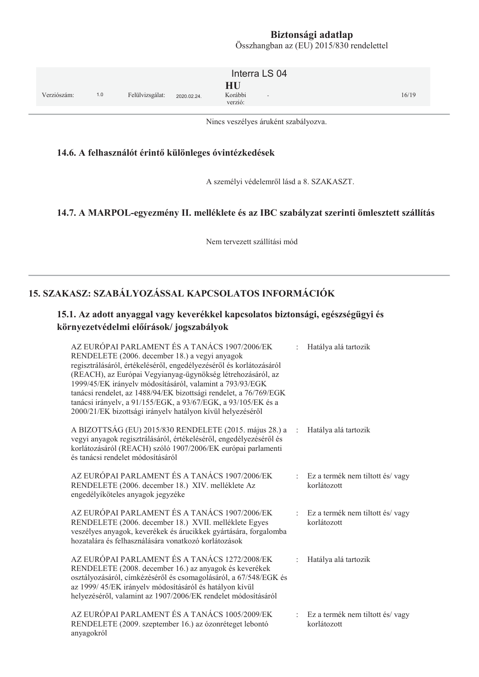Összhangban az (EU) 2015/830 rendelettel

|             |     |                 |             | Interra LS 04            |        |       |
|-------------|-----|-----------------|-------------|--------------------------|--------|-------|
| Verziószám: | 1.0 | Felülvizsgálat: | 2020.02.24. | HU<br>Korábbi<br>verzió: | $\sim$ | 16/19 |

Nincs veszélyes áruként szabályozva.

#### 14.6. A felhasználót érintő különleges óvintézkedések

A személyi védelemről lásd a 8. SZAKASZT.

#### 14.7. A MARPOL-egyezmény II. melléklete és az IBC szabályzat szerinti ömlesztett szállítás

Nem tervezett szállítási mód

### 15. SZAKASZ: SZABÁLYOZÁSSAL KAPCSOLATOS INFORMÁCIÓK

### 15.1. Az adott anyaggal vagy keverékkel kapcsolatos biztonsági, egészségügyi és környezetvédelmi előírások/jogszabályok

| AZ EURÓPAI PARLAMENT ÉS A TANÁCS 1907/2006/EK<br>RENDELETE (2006. december 18.) a vegyi anyagok<br>regisztrálásáról, értékeléséről, engedélyezéséről és korlátozásáról<br>(REACH), az Európai Vegyianyag-ügynökség létrehozásáról, az<br>1999/45/EK irányelv módosításáról, valamint a 793/93/EGK<br>tanácsi rendelet, az 1488/94/EK bizottsági rendelet, a 76/769/EGK<br>tanácsi irányelv, a 91/155/EGK, a 93/67/EGK, a 93/105/EK és a<br>2000/21/EK bizottsági irányelv hatályon kívül helyezéséről |                | Hatálya alá tartozik                           |
|-------------------------------------------------------------------------------------------------------------------------------------------------------------------------------------------------------------------------------------------------------------------------------------------------------------------------------------------------------------------------------------------------------------------------------------------------------------------------------------------------------|----------------|------------------------------------------------|
| A BIZOTTSÁG (EU) 2015/830 RENDELETE (2015. május 28.) a<br>vegyi anyagok regisztrálásáról, értékeléséről, engedélyezéséről és<br>korlátozásáról (REACH) szóló 1907/2006/EK európai parlamenti<br>és tanácsi rendelet módosításáról                                                                                                                                                                                                                                                                    | $\pm$          | Hatálya alá tartozik                           |
| AZ EURÓPAI PARLAMENT ÉS A TANÁCS 1907/2006/EK<br>RENDELETE (2006. december 18.) XIV. melléklete Az<br>engedélyíköteles anyagok jegyzéke                                                                                                                                                                                                                                                                                                                                                               | ÷.             | Ez a termék nem tiltott és/vagy<br>korlátozott |
| AZ EURÓPAI PARLAMENT ÉS A TANÁCS 1907/2006/EK<br>RENDELETE (2006. december 18.) XVII. melléklete Egyes<br>veszélyes anyagok, keverékek és árucikkek gyártására, forgalomba<br>hozatalára és felhasználására vonatkozó korlátozások                                                                                                                                                                                                                                                                    | $\ddot{\cdot}$ | Ez a termék nem tiltott és/vagy<br>korlátozott |
| AZ EURÓPAI PARLAMENT ÉS A TANÁCS 1272/2008/EK<br>RENDELETE (2008. december 16.) az anyagok és keverékek<br>osztályozásáról, címkézéséről és csomagolásáról, a 67/548/EGK és<br>az 1999/45/EK irányelv módosításáról és hatályon kívül<br>helyezéséről, valamint az 1907/2006/EK rendelet módosításáról                                                                                                                                                                                                |                | Hatálya alá tartozik                           |
| AZ EURÓPAI PARLAMENT ÉS A TANÁCS 1005/2009/EK<br>RENDELETE (2009. szeptember 16.) az ózonréteget lebontó<br>anyagokról                                                                                                                                                                                                                                                                                                                                                                                | ÷.             | Ez a termék nem tiltott és/vagy<br>korlátozott |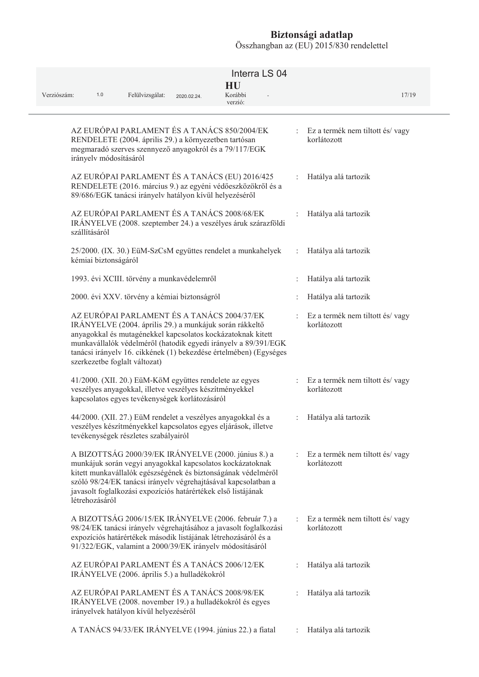| Verziószám:<br>1.0            | Felülvizsgálat:                                                                                                                                                                                                                                                                                                       | 2020.02.24. | Interra LS 04<br>HU<br>Korábbi<br>verzió: |                           | 17/19                                            |
|-------------------------------|-----------------------------------------------------------------------------------------------------------------------------------------------------------------------------------------------------------------------------------------------------------------------------------------------------------------------|-------------|-------------------------------------------|---------------------------|--------------------------------------------------|
| irányelv módosításáról        | AZ EURÓPAI PARLAMENT ÉS A TANÁCS 850/2004/EK<br>RENDELETE (2004. április 29.) a környezetben tartósan<br>megmaradó szerves szennyező anyagokról és a 79/117/EGK                                                                                                                                                       |             |                                           |                           | Ez a termék nem tiltott és/vagy<br>korlátozott   |
|                               | AZ EURÓPAI PARLAMENT ÉS A TANÁCS (EU) 2016/425<br>RENDELETE (2016. március 9.) az egyéni védőeszközökről és a<br>89/686/EGK tanácsi irányelv hatályon kívül helyezéséről                                                                                                                                              |             |                                           |                           | Hatálya alá tartozik                             |
| szállításáról                 | AZ EURÓPAI PARLAMENT ÉS A TANÁCS 2008/68/EK<br>IRÁNYELVE (2008. szeptember 24.) a veszélyes áruk szárazföldi                                                                                                                                                                                                          |             |                                           |                           | Hatálya alá tartozik                             |
| kémiai biztonságáról          | 25/2000. (IX. 30.) EüM-SzCsM együttes rendelet a munkahelyek                                                                                                                                                                                                                                                          |             |                                           | ÷.                        | Hatálya alá tartozik                             |
|                               | 1993. évi XCIII. törvény a munkavédelemről                                                                                                                                                                                                                                                                            |             |                                           |                           | Hatálya alá tartozik                             |
|                               | 2000. évi XXV. törvény a kémiai biztonságról                                                                                                                                                                                                                                                                          |             |                                           |                           | Hatálya alá tartozik                             |
| szerkezetbe foglalt változat) | AZ EURÓPAI PARLAMENT ÉS A TANÁCS 2004/37/EK<br>IRÁNYELVE (2004. április 29.) a munkájuk során rákkeltő<br>anyagokkal és mutagénekkel kapcsolatos kockázatoknak kitett<br>munkavállalók védelméről (hatodik egyedi irányelv a 89/391/EGK<br>tanácsi irányelv 16. cikkének (1) bekezdése értelmében) (Egységes          |             |                                           |                           | Ez a termék nem tiltott és/vagy<br>korlátozott   |
|                               | 41/2000. (XII. 20.) EüM-KöM együttes rendelete az egyes<br>veszélyes anyagokkal, illetve veszélyes készítményekkel<br>kapcsolatos egyes tevékenységek korlátozásáról                                                                                                                                                  |             |                                           |                           | : Ez a termék nem tiltott és/vagy<br>korlátozott |
|                               | 44/2000. (XII. 27.) EüM rendelet a veszélyes anyagokkal és a<br>veszélyes készítményekkel kapcsolatos egyes eljárások, illetve<br>tevékenységek részletes szabályairól                                                                                                                                                |             |                                           | $\ddot{\phantom{0}}$      | Hatálya alá tartozik                             |
| létrehozásáról                | A BIZOTTSÁG 2000/39/EK IRÁNYELVE (2000. június 8.) a<br>munkájuk során vegyi anyagokkal kapcsolatos kockázatoknak<br>kitett munkavállalók egészségének és biztonságának védelméről<br>szóló 98/24/EK tanácsi irányelv végrehajtásával kapcsolatban a<br>javasolt foglalkozási expozíciós határértékek első listájának |             |                                           | $\mathbb{R}^{\mathbb{Z}}$ | Ez a termék nem tiltott és/vagy<br>korlátozott   |
|                               | A BIZOTTSÁG 2006/15/EK IRÁNYELVE (2006. február 7.) a<br>98/24/EK tanácsi irányelv végrehajtásához a javasolt foglalkozási<br>expozíciós határértékek második listájának létrehozásáról és a<br>91/322/EGK, valamint a 2000/39/EK irányelv módosításáról                                                              |             |                                           |                           | Ez a termék nem tiltott és/vagy<br>korlátozott   |
|                               | AZ EURÓPAI PARLAMENT ÉS A TANÁCS 2006/12/EK<br>IRÁNYELVE (2006. április 5.) a hulladékokról                                                                                                                                                                                                                           |             |                                           |                           | Hatálya alá tartozik                             |
|                               | AZ EURÓPAI PARLAMENT ÉS A TANÁCS 2008/98/EK<br>IRÁNYELVE (2008. november 19.) a hulladékokról és egyes<br>irányelvek hatályon kívül helyezéséről                                                                                                                                                                      |             |                                           |                           | Hatálya alá tartozik                             |
|                               | A TANÁCS 94/33/EK IRÁNYELVE (1994. június 22.) a fiatal                                                                                                                                                                                                                                                               |             |                                           |                           | Hatálya alá tartozik                             |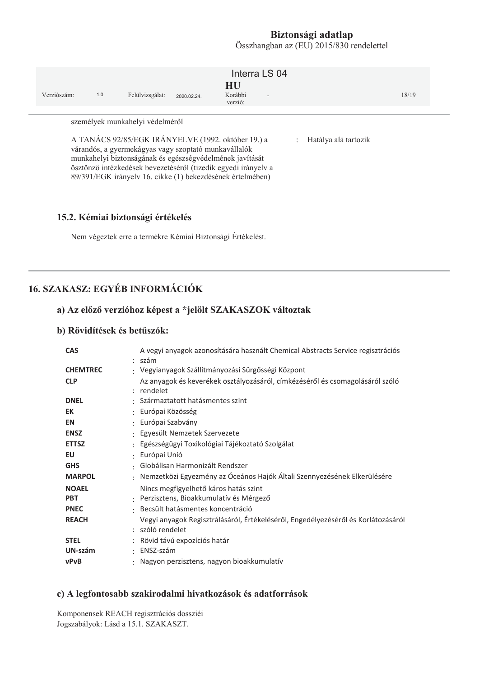Összhangban az (EU) 2015/830 rendelettel

| Verziószám:                                                                                                                                                                                                                                                                                                                                                                        | 1.0 | Felülvizsgálat: | 2020.02.24 | Interra LS 04<br>HU<br>Korábbi<br>$\overline{a}$<br>verzió: |  |  | 18/19 |  |
|------------------------------------------------------------------------------------------------------------------------------------------------------------------------------------------------------------------------------------------------------------------------------------------------------------------------------------------------------------------------------------|-----|-----------------|------------|-------------------------------------------------------------|--|--|-------|--|
| személyek munkahelyi védelméről<br>A TANÁCS 92/85/EGK IRÁNYELVE (1992. október 19.) a<br>Hatálya alá tartozik<br>$\mathcal{L}$<br>várandós, a gyermekágyas vagy szoptató munkavállalók<br>munkahelyi biztonságának és egészségvédelmének javítását<br>ösztönző intézkedések bevezetéséről (tizedik egyedi irányelv a<br>89/391/EGK irányelv 16. cikke (1) bekezdésének értelmében) |     |                 |            |                                                             |  |  |       |  |

#### 15.2. Kémiai biztonsági értékelés

Nem végeztek erre a termékre Kémiai Biztonsági Értékelést.

# **16. SZAKASZ: EGYÉB INFORMÁCIÓK**

#### a) Az előző verzióhoz képest a \*jelölt SZAKASZOK változtak

#### b) Rövidítések és betűszók:

| <b>CAS</b>      | A vegyi anyagok azonosítására használt Chemical Abstracts Service regisztrációs<br>: szám             |
|-----------------|-------------------------------------------------------------------------------------------------------|
| <b>CHEMTREC</b> | : Vegyianyagok Szállítmányozási Sürgősségi Központ                                                    |
| <b>CLP</b>      | Az anyagok és keverékek osztályozásáról, címkézéséről és csomagolásáról szóló<br>: rendelet           |
| <b>DNEL</b>     | : Származtatott hatásmentes szint                                                                     |
| EK              | : Európai Közösség                                                                                    |
| <b>EN</b>       | : Európai Szabvány                                                                                    |
| <b>ENSZ</b>     | : Egyesült Nemzetek Szervezete                                                                        |
| <b>ETTSZ</b>    | : Egészségügyi Toxikológiai Tájékoztató Szolgálat                                                     |
| EU              | : Európai Unió                                                                                        |
| <b>GHS</b>      | : Globálisan Harmonizált Rendszer                                                                     |
| <b>MARPOL</b>   | : Nemzetközi Egyezmény az Óceános Hajók Általi Szennyezésének Elkerülésére                            |
| <b>NOAEL</b>    | Nincs megfigyelhető káros hatás szint                                                                 |
| <b>PBT</b>      | : Perzisztens, Bioakkumulatív és Mérgező                                                              |
| <b>PNEC</b>     | · Becsült hatásmentes koncentráció                                                                    |
| <b>REACH</b>    | Vegyi anyagok Regisztrálásáról, Értékeléséről, Engedélyezéséről és Korlátozásáról<br>: szóló rendelet |
| <b>STEL</b>     | : Rövid távú expozíciós határ                                                                         |
| UN-szám         | $\cdot$ ENSZ-szám                                                                                     |
| <b>vPvB</b>     | : Nagyon perzisztens, nagyon bioakkumulatív                                                           |

#### c) A legfontosabb szakirodalmi hivatkozások és adatforrások

Komponensek REACH regisztrációs dossziéi Jogszabályok: Lásd a 15.1. SZAKASZT.